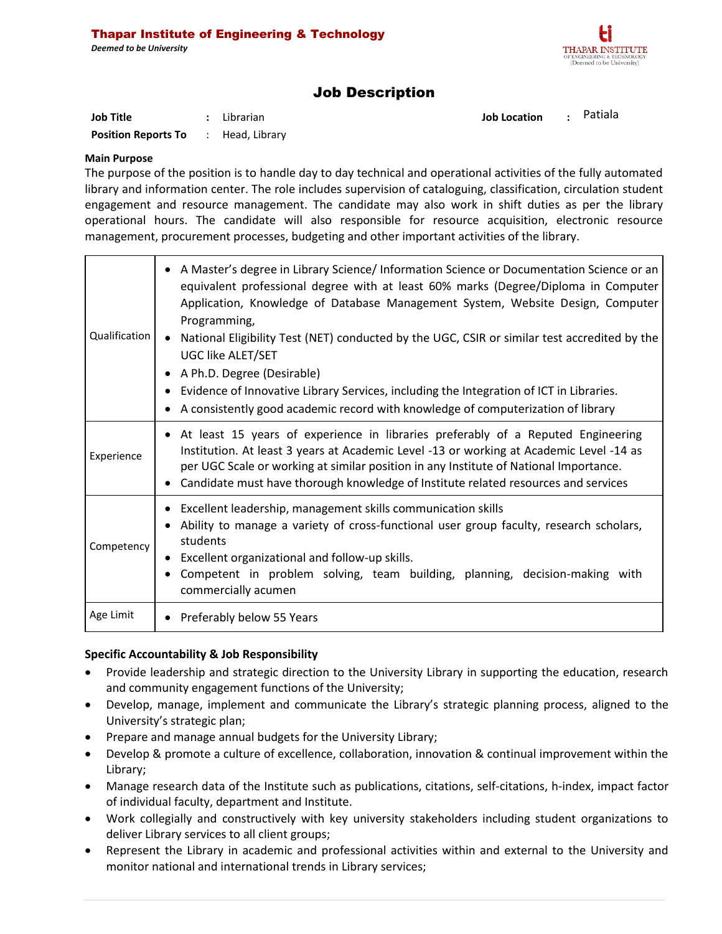

# Job Description

| Job Title                                  | : Librarian | Job Location : Patiala |  |
|--------------------------------------------|-------------|------------------------|--|
| <b>Position Reports To</b> : Head, Library |             |                        |  |

# **Main Purpose**

The purpose of the position is to handle day to day technical and operational activities of the fully automated library and information center. The role includes supervision of cataloguing, classification, circulation student engagement and resource management. The candidate may also work in shift duties as per the library operational hours. The candidate will also responsible for resource acquisition, electronic resource management, procurement processes, budgeting and other important activities of the library.

| Qualification | A Master's degree in Library Science/ Information Science or Documentation Science or an<br>$\bullet$<br>equivalent professional degree with at least 60% marks (Degree/Diploma in Computer<br>Application, Knowledge of Database Management System, Website Design, Computer<br>Programming,<br>National Eligibility Test (NET) conducted by the UGC, CSIR or similar test accredited by the<br>$\bullet$<br>UGC like ALET/SET<br>A Ph.D. Degree (Desirable)<br>Evidence of Innovative Library Services, including the Integration of ICT in Libraries.<br>A consistently good academic record with knowledge of computerization of library |  |  |  |
|---------------|----------------------------------------------------------------------------------------------------------------------------------------------------------------------------------------------------------------------------------------------------------------------------------------------------------------------------------------------------------------------------------------------------------------------------------------------------------------------------------------------------------------------------------------------------------------------------------------------------------------------------------------------|--|--|--|
| Experience    | • At least 15 years of experience in libraries preferably of a Reputed Engineering<br>Institution. At least 3 years at Academic Level -13 or working at Academic Level -14 as<br>per UGC Scale or working at similar position in any Institute of National Importance.<br>Candidate must have thorough knowledge of Institute related resources and services                                                                                                                                                                                                                                                                                 |  |  |  |
| Competency    | Excellent leadership, management skills communication skills<br>Ability to manage a variety of cross-functional user group faculty, research scholars,<br>students<br>• Excellent organizational and follow-up skills.<br>Competent in problem solving, team building, planning, decision-making with<br>commercially acumen                                                                                                                                                                                                                                                                                                                 |  |  |  |
| Age Limit     | • Preferably below 55 Years                                                                                                                                                                                                                                                                                                                                                                                                                                                                                                                                                                                                                  |  |  |  |

#### **Specific Accountability & Job Responsibility**

- Provide leadership and strategic direction to the University Library in supporting the education, research and community engagement functions of the University;
- Develop, manage, implement and communicate the Library's strategic planning process, aligned to the University's strategic plan;
- Prepare and manage annual budgets for the University Library;
- Develop & promote a culture of excellence, collaboration, innovation & continual improvement within the Library;
- Manage research data of the Institute such as publications, citations, self-citations, h-index, impact factor of individual faculty, department and Institute.
- Work collegially and constructively with key university stakeholders including student organizations to deliver Library services to all client groups;
- Represent the Library in academic and professional activities within and external to the University and monitor national and international trends in Library services;